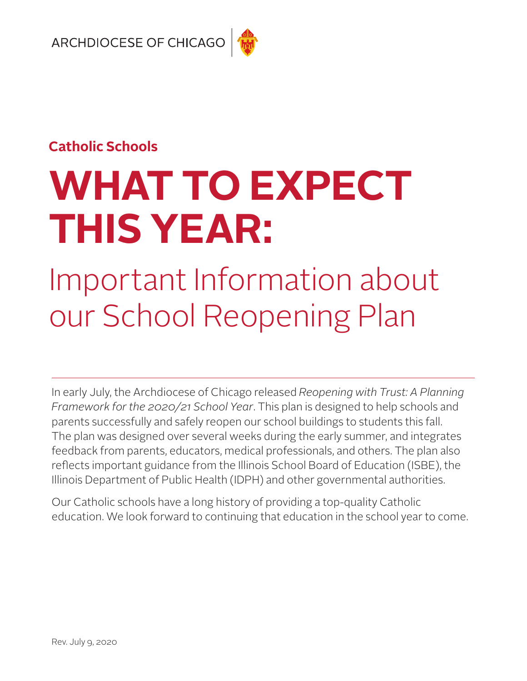## **Catholic Schools**

# **WHAT TO EXPECT THIS YEAR:**

## Important Information about our School Reopening Plan

In early July, the Archdiocese of Chicago released *Reopening with Trust: A Planning Framework for the 2020/21 School Year*. This plan is designed to help schools and parents successfully and safely reopen our school buildings to students this fall. The plan was designed over several weeks during the early summer, and integrates feedback from parents, educators, medical professionals, and others. The plan also reflects important guidance from the Illinois School Board of Education (ISBE), the Illinois Department of Public Health (IDPH) and other governmental authorities.

Our Catholic schools have a long history of providing a top-quality Catholic education. We look forward to continuing that education in the school year to come.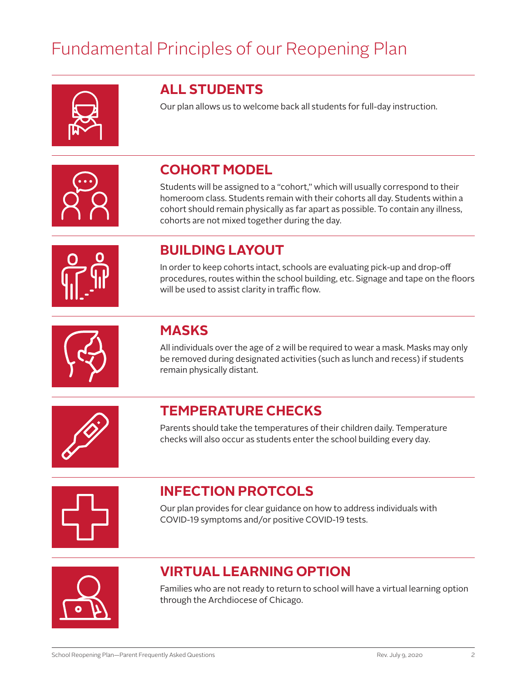## Fundamental Principles of our Reopening Plan



## **ALL STUDENTS**

Our plan allows us to welcome back all students for full-day instruction.

## **COHORT MODEL**

Students will be assigned to a "cohort," which will usually correspond to their homeroom class. Students remain with their cohorts all day. Students within a cohort should remain physically as far apart as possible. To contain any illness, cohorts are not mixed together during the day.



## **BUILDING LAYOUT**

In order to keep cohorts intact, schools are evaluating pick-up and drop-off procedures, routes within the school building, etc. Signage and tape on the floors will be used to assist clarity in traffic flow.



## **MASKS**

All individuals over the age of 2 will be required to wear a mask. Masks may only be removed during designated activities (such as lunch and recess) if students remain physically distant.



## **TEMPERATURE CHECKS**

Parents should take the temperatures of their children daily. Temperature checks will also occur as students enter the school building every day.



## **INFECTION PROTCOLS**

Our plan provides for clear guidance on how to address individuals with COVID-19 symptoms and/or positive COVID-19 tests.



## **VIRTUAL LEARNING OPTION**

Families who are not ready to return to school will have a virtual learning option through the Archdiocese of Chicago.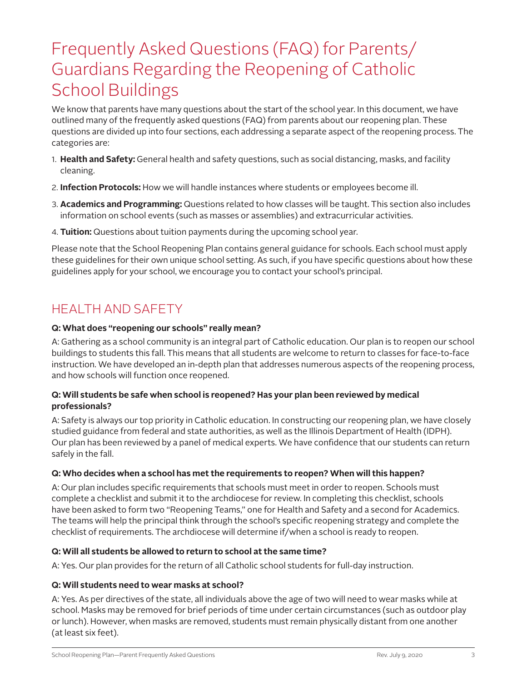## Frequently Asked Questions (FAQ) for Parents/ Guardians Regarding the Reopening of Catholic School Buildings

We know that parents have many questions about the start of the school year. In this document, we have outlined many of the frequently asked questions (FAQ) from parents about our reopening plan. These questions are divided up into four sections, each addressing a separate aspect of the reopening process. The categories are:

- 1. **Health and Safety:** General health and safety questions, such as social distancing, masks, and facility cleaning.
- 2. **Infection Protocols:** How we will handle instances where students or employees become ill.
- 3. **Academics and Programming:** Questions related to how classes will be taught. This section also includes information on school events (such as masses or assemblies) and extracurricular activities.
- 4. **Tuition:** Questions about tuition payments during the upcoming school year.

Please note that the School Reopening Plan contains general guidance for schools. Each school must apply these guidelines for their own unique school setting. As such, if you have specific questions about how these guidelines apply for your school, we encourage you to contact your school's principal.

## HEALTH AND SAFETY

#### **Q: What does "reopening our schools" really mean?**

A: Gathering as a school community is an integral part of Catholic education. Our plan is to reopen our school buildings to students this fall. This means that all students are welcome to return to classes for face-to-face instruction. We have developed an in-depth plan that addresses numerous aspects of the reopening process, and how schools will function once reopened.

#### **Q: Will students be safe when school is reopened? Has your plan been reviewed by medical professionals?**

A: Safety is always our top priority in Catholic education. In constructing our reopening plan, we have closely studied guidance from federal and state authorities, as well as the Illinois Department of Health (IDPH). Our plan has been reviewed by a panel of medical experts. We have confidence that our students can return safely in the fall.

#### **Q: Who decides when a school has met the requirements to reopen? When will this happen?**

A: Our plan includes specific requirements that schools must meet in order to reopen. Schools must complete a checklist and submit it to the archdiocese for review. In completing this checklist, schools have been asked to form two "Reopening Teams," one for Health and Safety and a second for Academics. The teams will help the principal think through the school's specific reopening strategy and complete the checklist of requirements. The archdiocese will determine if/when a school is ready to reopen.

#### **Q: Will all students be allowed to return to school at the same time?**

A: Yes. Our plan provides for the return of all Catholic school students for full-day instruction.

#### **Q: Will students need to wear masks at school?**

A: Yes. As per directives of the state, all individuals above the age of two will need to wear masks while at school. Masks may be removed for brief periods of time under certain circumstances (such as outdoor play or lunch). However, when masks are removed, students must remain physically distant from one another (at least six feet).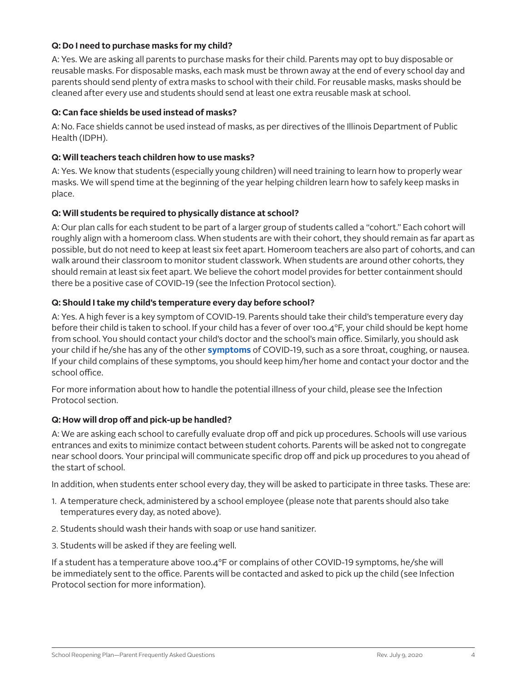#### **Q: Do I need to purchase masks for my child?**

A: Yes. We are asking all parents to purchase masks for their child. Parents may opt to buy disposable or reusable masks. For disposable masks, each mask must be thrown away at the end of every school day and parents should send plenty of extra masks to school with their child. For reusable masks, masks should be cleaned after every use and students should send at least one extra reusable mask at school.

#### **Q: Can face shields be used instead of masks?**

A: No. Face shields cannot be used instead of masks, as per directives of the Illinois Department of Public Health (IDPH).

#### **Q: Will teachers teach children how to use masks?**

A: Yes. We know that students (especially young children) will need training to learn how to properly wear masks. We will spend time at the beginning of the year helping children learn how to safely keep masks in place.

#### **Q: Will students be required to physically distance at school?**

A: Our plan calls for each student to be part of a larger group of students called a "cohort." Each cohort will roughly align with a homeroom class. When students are with their cohort, they should remain as far apart as possible, but do not need to keep at least six feet apart. Homeroom teachers are also part of cohorts, and can walk around their classroom to monitor student classwork. When students are around other cohorts, they should remain at least six feet apart. We believe the cohort model provides for better containment should there be a positive case of COVID-19 (see the Infection Protocol section).

#### **Q: Should I take my child's temperature every day before school?**

A: Yes. A high fever is a key symptom of COVID-19. Parents should take their child's temperature every day before their child is taken to school. If your child has a fever of over 100.4°F, your child should be kept home from school. You should contact your child's doctor and the school's main office. Similarly, you should ask your child if he/she has any of the other **[symptoms](https://www.cdc.gov/coronavirus/2019-ncov/symptoms-testing/symptoms.html)** of COVID-19, such as a sore throat, coughing, or nausea. If your child complains of these symptoms, you should keep him/her home and contact your doctor and the school office.

For more information about how to handle the potential illness of your child, please see the Infection Protocol section.

#### **Q: How will drop off and pick-up be handled?**

A: We are asking each school to carefully evaluate drop off and pick up procedures. Schools will use various entrances and exits to minimize contact between student cohorts. Parents will be asked not to congregate near school doors. Your principal will communicate specific drop off and pick up procedures to you ahead of the start of school.

In addition, when students enter school every day, they will be asked to participate in three tasks. These are:

- 1. A temperature check, administered by a school employee (please note that parents should also take temperatures every day, as noted above).
- 2. Students should wash their hands with soap or use hand sanitizer.
- 3. Students will be asked if they are feeling well.

If a student has a temperature above 100.4°F or complains of other COVID-19 symptoms, he/she will be immediately sent to the office. Parents will be contacted and asked to pick up the child (see Infection Protocol section for more information).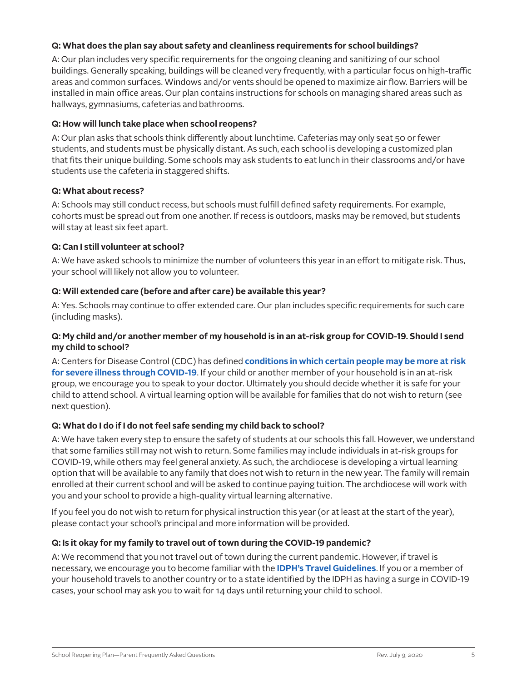#### **Q: What does the plan say about safety and cleanliness requirements for school buildings?**

A: Our plan includes very specific requirements for the ongoing cleaning and sanitizing of our school buildings. Generally speaking, buildings will be cleaned very frequently, with a particular focus on high-traffic areas and common surfaces. Windows and/or vents should be opened to maximize air flow. Barriers will be installed in main office areas. Our plan contains instructions for schools on managing shared areas such as hallways, gymnasiums, cafeterias and bathrooms.

#### **Q: How will lunch take place when school reopens?**

A: Our plan asks that schools think differently about lunchtime. Cafeterias may only seat 50 or fewer students, and students must be physically distant. As such, each school is developing a customized plan that fits their unique building. Some schools may ask students to eat lunch in their classrooms and/or have students use the cafeteria in staggered shifts.

#### **Q: What about recess?**

A: Schools may still conduct recess, but schools must fulfill defined safety requirements. For example, cohorts must be spread out from one another. If recess is outdoors, masks may be removed, but students will stay at least six feet apart.

#### **Q: Can I still volunteer at school?**

A: We have asked schools to minimize the number of volunteers this year in an effort to mitigate risk. Thus, your school will likely not allow you to volunteer.

#### **Q: Will extended care (before and after care) be available this year?**

A: Yes. Schools may continue to offer extended care. Our plan includes specific requirements for such care (including masks).

#### **Q: My child and/or another member of my household is in an at-risk group for COVID-19. Should I send my child to school?**

A: Centers for Disease Control (CDC) has defined **[conditions in which certain people may be more at risk](https://www.cdc.gov/coronavirus/2019-ncov/need-extra-precautions/people-at-increased-risk.html)  [for severe illness through COVID-19](https://www.cdc.gov/coronavirus/2019-ncov/need-extra-precautions/people-at-increased-risk.html)**. If your child or another member of your household is in an at-risk group, we encourage you to speak to your doctor. Ultimately you should decide whether it is safe for your child to attend school. A virtual learning option will be available for families that do not wish to return (see next question).

#### **Q: What do I do if I do not feel safe sending my child back to school?**

A: We have taken every step to ensure the safety of students at our schools this fall. However, we understand that some families still may not wish to return. Some families may include individuals in at-risk groups for COVID-19, while others may feel general anxiety. As such, the archdiocese is developing a virtual learning option that will be available to any family that does not wish to return in the new year. The family will remain enrolled at their current school and will be asked to continue paying tuition. The archdiocese will work with you and your school to provide a high-quality virtual learning alternative.

If you feel you do not wish to return for physical instruction this year (or at least at the start of the year), please contact your school's principal and more information will be provided.

#### **Q: Is it okay for my family to travel out of town during the COVID-19 pandemic?**

A: We recommend that you not travel out of town during the current pandemic. However, if travel is necessary, we encourage you to become familiar with the **[IDPH's Travel Guidelines](https://www.dph.illinois.gov/topics-services/diseases-and-conditions/diseases-a-z-list/coronavirus/travel-guidance)**. If you or a member of your household travels to another country or to a state identified by the IDPH as having a surge in COVID-19 cases, your school may ask you to wait for 14 days until returning your child to school.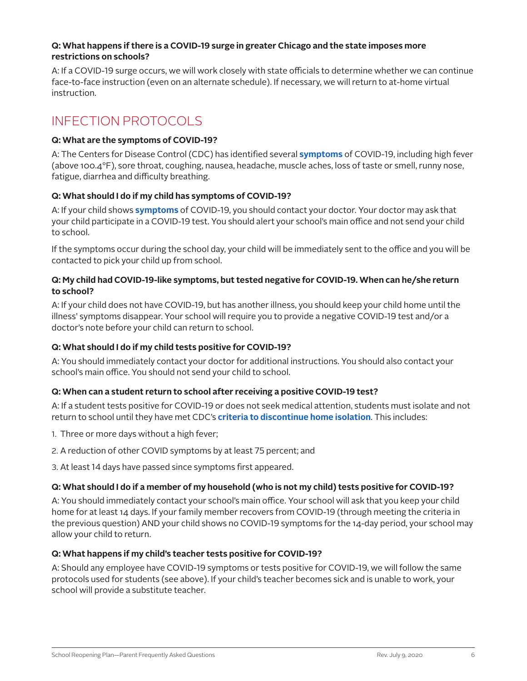#### **Q: What happens if there is a COVID-19 surge in greater Chicago and the state imposes more restrictions on schools?**

A: If a COVID-19 surge occurs, we will work closely with state officials to determine whether we can continue face-to-face instruction (even on an alternate schedule). If necessary, we will return to at-home virtual instruction.

## INFECTION PROTOCOLS

#### **Q: What are the symptoms of COVID-19?**

A: The Centers for Disease Control (CDC) has identified several **[symptoms](https://www.cdc.gov/coronavirus/2019-ncov/symptoms-testing/symptoms.html)** of COVID-19, including high fever (above 100.4°F), sore throat, coughing, nausea, headache, muscle aches, loss of taste or smell, runny nose, fatigue, diarrhea and difficulty breathing.

#### **Q: What should I do if my child has symptoms of COVID-19?**

A: If your child shows **[symptoms](https://www.cdc.gov/coronavirus/2019-ncov/symptoms-testing/symptoms.html)** of COVID-19, you should contact your doctor. Your doctor may ask that your child participate in a COVID-19 test. You should alert your school's main office and not send your child to school.

If the symptoms occur during the school day, your child will be immediately sent to the office and you will be contacted to pick your child up from school.

#### **Q: My child had COVID-19-like symptoms, but tested negative for COVID-19. When can he/she return to school?**

A: If your child does not have COVID-19, but has another illness, you should keep your child home until the illness' symptoms disappear. Your school will require you to provide a negative COVID-19 test and/or a doctor's note before your child can return to school.

#### **Q: What should I do if my child tests positive for COVID-19?**

A: You should immediately contact your doctor for additional instructions. You should also contact your school's main office. You should not send your child to school.

#### **Q: When can a student return to school after receiving a positive COVID-19 test?**

A: If a student tests positive for COVID-19 or does not seek medical attention, students must isolate and not return to school until they have met CDC's **[criteria to discontinue home isolation](https://www.cdc.gov/coronavirus/2019-ncov/if-you-are-sick/steps-when-sick.html#discontinue-isolation)**. This includes:

- 1. Three or more days without a high fever;
- 2. A reduction of other COVID symptoms by at least 75 percent; and
- 3. At least 14 days have passed since symptoms first appeared.

#### **Q: What should I do if a member of my household (who is not my child) tests positive for COVID-19?**

A: You should immediately contact your school's main office. Your school will ask that you keep your child home for at least 14 days. If your family member recovers from COVID-19 (through meeting the criteria in the previous question) AND your child shows no COVID-19 symptoms for the 14-day period, your school may allow your child to return.

#### **Q: What happens if my child's teacher tests positive for COVID-19?**

A: Should any employee have COVID-19 symptoms or tests positive for COVID-19, we will follow the same protocols used for students (see above). If your child's teacher becomes sick and is unable to work, your school will provide a substitute teacher.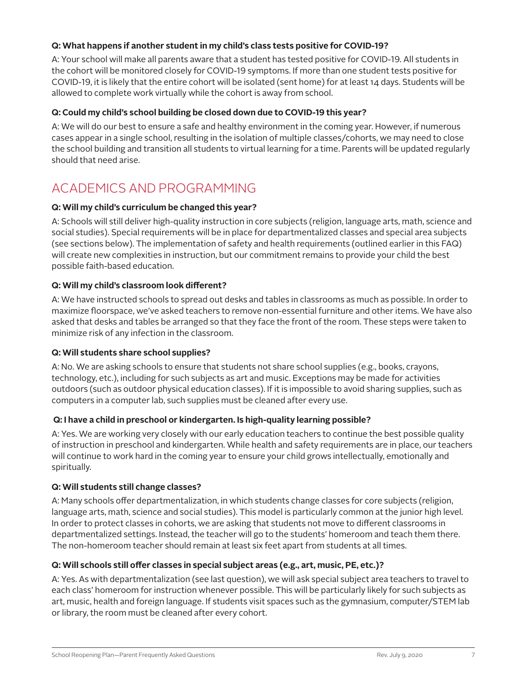#### **Q: What happens if another student in my child's class tests positive for COVID-19?**

A: Your school will make all parents aware that a student has tested positive for COVID-19. All students in the cohort will be monitored closely for COVID-19 symptoms. If more than one student tests positive for COVID-19, it is likely that the entire cohort will be isolated (sent home) for at least 14 days. Students will be allowed to complete work virtually while the cohort is away from school.

#### **Q: Could my child's school building be closed down due to COVID-19 this year?**

A: We will do our best to ensure a safe and healthy environment in the coming year. However, if numerous cases appear in a single school, resulting in the isolation of multiple classes/cohorts, we may need to close the school building and transition all students to virtual learning for a time. Parents will be updated regularly should that need arise.

## ACADEMICS AND PROGRAMMING

#### **Q: Will my child's curriculum be changed this year?**

A: Schools will still deliver high-quality instruction in core subjects (religion, language arts, math, science and social studies). Special requirements will be in place for departmentalized classes and special area subjects (see sections below). The implementation of safety and health requirements (outlined earlier in this FAQ) will create new complexities in instruction, but our commitment remains to provide your child the best possible faith-based education.

#### **Q: Will my child's classroom look different?**

A: We have instructed schools to spread out desks and tables in classrooms as much as possible. In order to maximize floorspace, we've asked teachers to remove non-essential furniture and other items. We have also asked that desks and tables be arranged so that they face the front of the room. These steps were taken to minimize risk of any infection in the classroom.

#### **Q: Will students share school supplies?**

A: No. We are asking schools to ensure that students not share school supplies (e.g., books, crayons, technology, etc.), including for such subjects as art and music. Exceptions may be made for activities outdoors (such as outdoor physical education classes). If it is impossible to avoid sharing supplies, such as computers in a computer lab, such supplies must be cleaned after every use.

#### **Q: I have a child in preschool or kindergarten. Is high-quality learning possible?**

A: Yes. We are working very closely with our early education teachers to continue the best possible quality of instruction in preschool and kindergarten. While health and safety requirements are in place, our teachers will continue to work hard in the coming year to ensure your child grows intellectually, emotionally and spiritually.

#### **Q: Will students still change classes?**

A: Many schools offer departmentalization, in which students change classes for core subjects (religion, language arts, math, science and social studies). This model is particularly common at the junior high level. In order to protect classes in cohorts, we are asking that students not move to different classrooms in departmentalized settings. Instead, the teacher will go to the students' homeroom and teach them there. The non-homeroom teacher should remain at least six feet apart from students at all times.

#### **Q: Will schools still offer classes in special subject areas (e.g., art, music, PE, etc.)?**

A: Yes. As with departmentalization (see last question), we will ask special subject area teachers to travel to each class' homeroom for instruction whenever possible. This will be particularly likely for such subjects as art, music, health and foreign language. If students visit spaces such as the gymnasium, computer/STEM lab or library, the room must be cleaned after every cohort.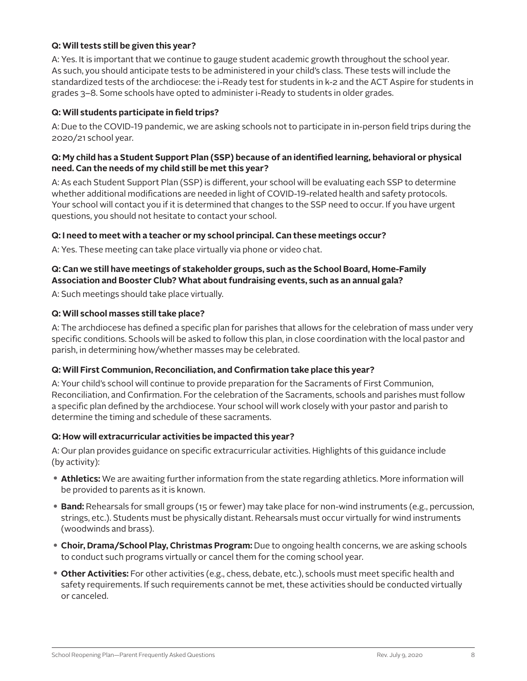#### **Q: Will tests still be given this year?**

A: Yes. It is important that we continue to gauge student academic growth throughout the school year. As such, you should anticipate tests to be administered in your child's class. These tests will include the standardized tests of the archdiocese: the i-Ready test for students in k-2 and the ACT Aspire for students in grades 3–8. Some schools have opted to administer i-Ready to students in older grades.

#### **Q: Will students participate in field trips?**

A: Due to the COVID-19 pandemic, we are asking schools not to participate in in-person field trips during the 2020/21 school year.

#### **Q: My child has a Student Support Plan (SSP) because of an identified learning, behavioral or physical need. Can the needs of my child still be met this year?**

A: As each Student Support Plan (SSP) is different, your school will be evaluating each SSP to determine whether additional modifications are needed in light of COVID-19-related health and safety protocols. Your school will contact you if it is determined that changes to the SSP need to occur. If you have urgent questions, you should not hesitate to contact your school.

#### **Q: I need to meet with a teacher or my school principal. Can these meetings occur?**

A: Yes. These meeting can take place virtually via phone or video chat.

#### **Q: Can we still have meetings of stakeholder groups, such as the School Board, Home-Family Association and Booster Club? What about fundraising events, such as an annual gala?**

A: Such meetings should take place virtually.

#### **Q: Will school masses still take place?**

A: The archdiocese has defined a specific plan for parishes that allows for the celebration of mass under very specific conditions. Schools will be asked to follow this plan, in close coordination with the local pastor and parish, in determining how/whether masses may be celebrated.

#### **Q: Will First Communion, Reconciliation, and Confirmation take place this year?**

A: Your child's school will continue to provide preparation for the Sacraments of First Communion, Reconciliation, and Confirmation. For the celebration of the Sacraments, schools and parishes must follow a specific plan defined by the archdiocese. Your school will work closely with your pastor and parish to determine the timing and schedule of these sacraments.

#### **Q: How will extracurricular activities be impacted this year?**

A: Our plan provides guidance on specific extracurricular activities. Highlights of this guidance include (by activity):

- **• Athletics:** We are awaiting further information from the state regarding athletics. More information will be provided to parents as it is known.
- **• Band:** Rehearsals for small groups (15 or fewer) may take place for non-wind instruments (e.g., percussion, strings, etc.). Students must be physically distant. Rehearsals must occur virtually for wind instruments (woodwinds and brass).
- **• Choir, Drama/School Play, Christmas Program:** Due to ongoing health concerns, we are asking schools to conduct such programs virtually or cancel them for the coming school year.
- **• Other Activities:** For other activities (e.g., chess, debate, etc.), schools must meet specific health and safety requirements. If such requirements cannot be met, these activities should be conducted virtually or canceled.